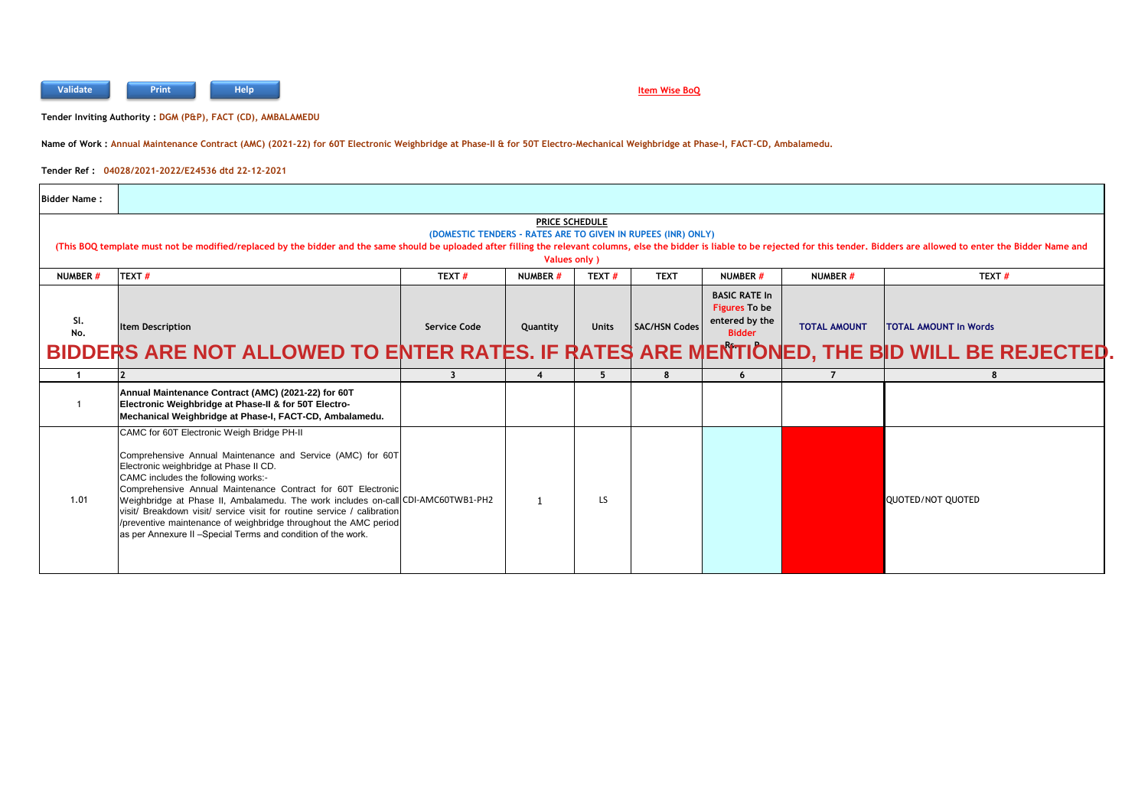

## **Item Wise BoQ**

**Tender Inviting Authority : DGM (P&P), FACT (CD), AMBALAMEDU**

**Name of Work : Annual Maintenance Contract (AMC) (2021-22) for 60T Electronic Weighbridge at Phase-II & for 50T Electro-Mechanical Weighbridge at Phase-I, FACT-CD, Ambalamedu.**

**Tender Ref : 04028/2021-2022/E24536 dtd 22-12-2021**

| <b>Bidder Name:</b>                                                                                                                                                                                                                                                                                                                    |                                                                                                                                                                                                                                                                                                                                                                                                                                                                                                                                                               |                     |                |              |                      |                                                                          |                     |                              |
|----------------------------------------------------------------------------------------------------------------------------------------------------------------------------------------------------------------------------------------------------------------------------------------------------------------------------------------|---------------------------------------------------------------------------------------------------------------------------------------------------------------------------------------------------------------------------------------------------------------------------------------------------------------------------------------------------------------------------------------------------------------------------------------------------------------------------------------------------------------------------------------------------------------|---------------------|----------------|--------------|----------------------|--------------------------------------------------------------------------|---------------------|------------------------------|
| <b>PRICE SCHEDULE</b><br>(DOMESTIC TENDERS - RATES ARE TO GIVEN IN RUPEES (INR) ONLY)<br>(This BOQ template must not be modified/replaced by the bidder and the same should be uploaded after filling the relevant columns, else the bidder is liable to be rejected for this tender. Bidders are allowed to enter the<br>Values only) |                                                                                                                                                                                                                                                                                                                                                                                                                                                                                                                                                               |                     |                |              |                      |                                                                          |                     |                              |
| NUMBER #                                                                                                                                                                                                                                                                                                                               | TEXT#                                                                                                                                                                                                                                                                                                                                                                                                                                                                                                                                                         | TEXT#               | <b>NUMBER#</b> | TEXT#        | <b>TEXT</b>          | <b>NUMBER#</b>                                                           | NUMBER #            | TEXT#                        |
| SI.<br>No.                                                                                                                                                                                                                                                                                                                             | <b>Item Description</b><br>BIDDERS ARE NOT ALLOWED TO ENTER RATES. IF RATES ARE MENTIONED, THE BID WILL BE REJECTED                                                                                                                                                                                                                                                                                                                                                                                                                                           | <b>Service Code</b> | Quantity       | <b>Units</b> | <b>SAC/HSN Codes</b> | <b>BASIC RATE In</b><br>Figures To be<br>entered by the<br><b>Bidder</b> | <b>TOTAL AMOUNT</b> | <b>TOTAL AMOUNT In Words</b> |
|                                                                                                                                                                                                                                                                                                                                        |                                                                                                                                                                                                                                                                                                                                                                                                                                                                                                                                                               | ર                   |                | 5            | R                    | 6                                                                        | $\overline{7}$      | 8                            |
|                                                                                                                                                                                                                                                                                                                                        | Annual Maintenance Contract (AMC) (2021-22) for 60T<br>Electronic Weighbridge at Phase-II & for 50T Electro-<br>Mechanical Weighbridge at Phase-I, FACT-CD, Ambalamedu.                                                                                                                                                                                                                                                                                                                                                                                       |                     |                |              |                      |                                                                          |                     |                              |
| 1.01                                                                                                                                                                                                                                                                                                                                   | CAMC for 60T Electronic Weigh Bridge PH-II<br>Comprehensive Annual Maintenance and Service (AMC) for 60T<br>Electronic weighbridge at Phase II CD.<br>CAMC includes the following works:-<br>Comprehensive Annual Maintenance Contract for 60T Electronic<br>Weighbridge at Phase II, Ambalamedu. The work includes on-call CDI-AMC60TWB1-PH2<br>visit/ Breakdown visit/ service visit for routine service / calibration<br>/preventive maintenance of weighbridge throughout the AMC period<br>as per Annexure II - Special Terms and condition of the work. |                     |                | LS.          |                      |                                                                          |                     | QUOTED/NOT QUOTED            |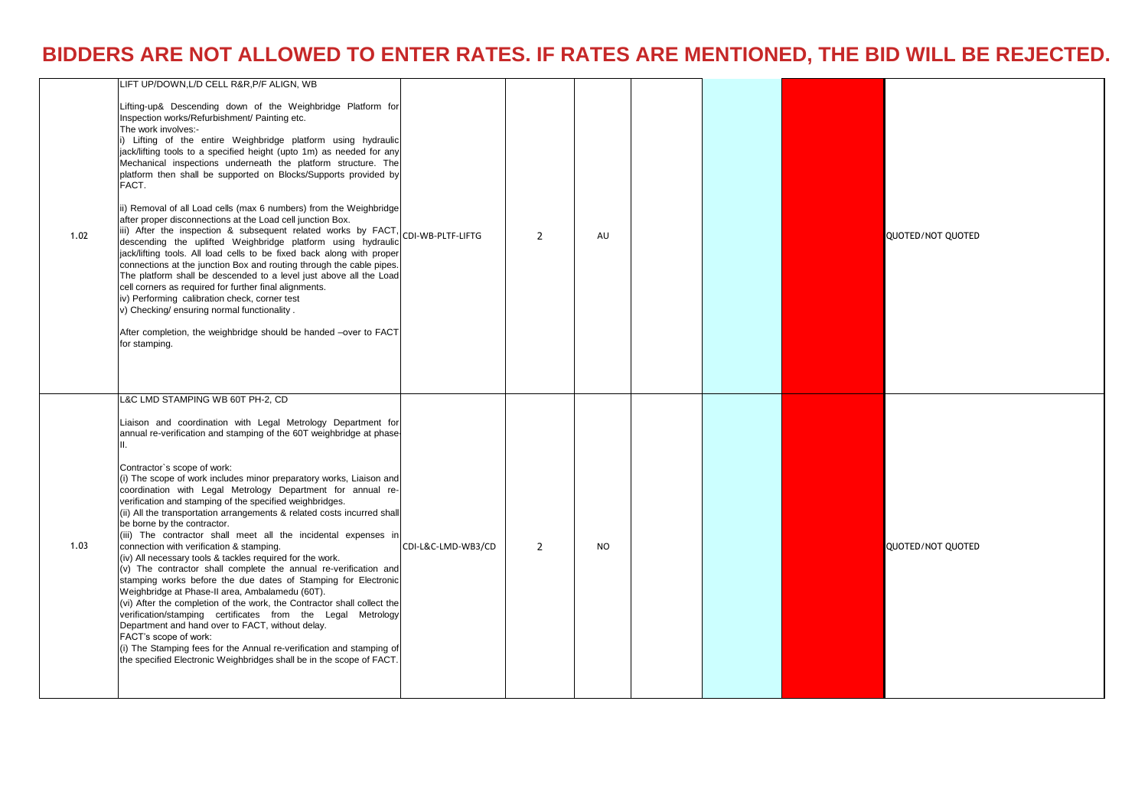## **BIDDERS ARE NOT ALLOWED TO ENTER RATES. IF RATES ARE MENTIONED, THE BID WILL BE REJECTED.**

| 1.02 | LIFT UP/DOWN, L/D CELL R&R, P/F ALIGN, WB<br>Lifting-up& Descending down of the Weighbridge Platform for<br>Inspection works/Refurbishment/ Painting etc.<br>The work involves:-<br>i) Lifting of the entire Weighbridge platform using hydraulic<br>jack/lifting tools to a specified height (upto 1m) as needed for any<br>Mechanical inspections underneath the platform structure. The<br>platform then shall be supported on Blocks/Supports provided by<br>FACT.<br>ii) Removal of all Load cells (max 6 numbers) from the Weighbridge<br>after proper disconnections at the Load cell junction Box.<br>iii) After the inspection & subsequent related works by FACT,<br>descending the uplifted Weighbridge platform using hydraulic<br>jack/lifting tools. All load cells to be fixed back along with proper<br>connections at the junction Box and routing through the cable pipes.<br>The platform shall be descended to a level just above all the Load<br>cell corners as required for further final alignments.<br>iv) Performing calibration check, corner test<br>v) Checking/ ensuring normal functionality.<br>After completion, the weighbridge should be handed -over to FACT<br>for stamping.                                                     | CDI-WB-PLTF-LIFTG  | $\overline{2}$ | AU             |  | QUOTED/NOT QUOTED        |
|------|-----------------------------------------------------------------------------------------------------------------------------------------------------------------------------------------------------------------------------------------------------------------------------------------------------------------------------------------------------------------------------------------------------------------------------------------------------------------------------------------------------------------------------------------------------------------------------------------------------------------------------------------------------------------------------------------------------------------------------------------------------------------------------------------------------------------------------------------------------------------------------------------------------------------------------------------------------------------------------------------------------------------------------------------------------------------------------------------------------------------------------------------------------------------------------------------------------------------------------------------------------------------------|--------------------|----------------|----------------|--|--------------------------|
| 1.03 | L&C LMD STAMPING WB 60T PH-2, CD<br>Liaison and coordination with Legal Metrology Department for<br>annual re-verification and stamping of the 60T weighbridge at phase-<br>II.<br>Contractor's scope of work:<br>(i) The scope of work includes minor preparatory works, Liaison and<br>coordination with Legal Metrology Department for annual re-<br>verification and stamping of the specified weighbridges.<br>(ii) All the transportation arrangements & related costs incurred shall<br>be borne by the contractor.<br>(iii) The contractor shall meet all the incidental expenses in<br>connection with verification & stamping.<br>(iv) All necessary tools & tackles required for the work.<br>(v) The contractor shall complete the annual re-verification and<br>stamping works before the due dates of Stamping for Electronic<br>Weighbridge at Phase-II area, Ambalamedu (60T).<br>(vi) After the completion of the work, the Contractor shall collect the<br>verification/stamping certificates from the Legal Metrology<br>Department and hand over to FACT, without delay.<br>FACT's scope of work:<br>(i) The Stamping fees for the Annual re-verification and stamping of<br>the specified Electronic Weighbridges shall be in the scope of FACT. | CDI-L&C-LMD-WB3/CD | $\overline{2}$ | N <sub>O</sub> |  | <b>QUOTED/NOT QUOTED</b> |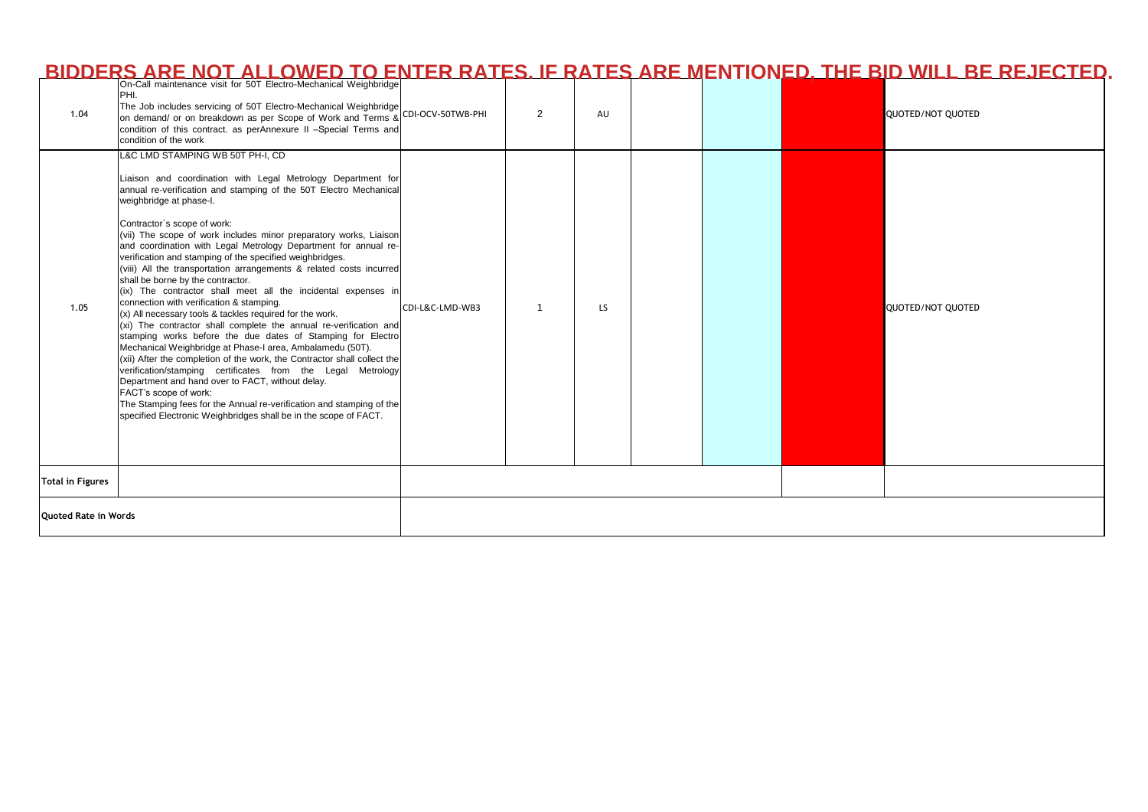|                             | BIDDERS ARE NOT ALLOWED TO ENTER RATES. IF RATES ARE MENTIONED, THE BID WILL BE REJECTED                                                                                                                                                                                                                                                                                                                                                                                                                                                                                                                                                                                                                                                                                                                                                                                                                                                                                                                                                                                                                                                                                                                                                                                                      |                 |   |           |  |  |                   |
|-----------------------------|-----------------------------------------------------------------------------------------------------------------------------------------------------------------------------------------------------------------------------------------------------------------------------------------------------------------------------------------------------------------------------------------------------------------------------------------------------------------------------------------------------------------------------------------------------------------------------------------------------------------------------------------------------------------------------------------------------------------------------------------------------------------------------------------------------------------------------------------------------------------------------------------------------------------------------------------------------------------------------------------------------------------------------------------------------------------------------------------------------------------------------------------------------------------------------------------------------------------------------------------------------------------------------------------------|-----------------|---|-----------|--|--|-------------------|
| 1.04                        | PHI.<br>The Job includes servicing of 50T Electro-Mechanical Weighbridge<br>on demand/ or on breakdown as per Scope of Work and Terms & CDI-OCV-50TWB-PHI<br>condition of this contract. as perAnnexure II -Special Terms and<br>condition of the work                                                                                                                                                                                                                                                                                                                                                                                                                                                                                                                                                                                                                                                                                                                                                                                                                                                                                                                                                                                                                                        |                 | 2 | AU        |  |  | QUOTED/NOT QUOTED |
| 1.05                        | L&C LMD STAMPING WB 50T PH-I, CD<br>Liaison and coordination with Legal Metrology Department for<br>annual re-verification and stamping of the 50T Electro Mechanical<br>weighbridge at phase-I.<br>Contractor's scope of work:<br>(vii) The scope of work includes minor preparatory works, Liaison<br>and coordination with Legal Metrology Department for annual re-<br>verification and stamping of the specified weighbridges.<br>(viii) All the transportation arrangements & related costs incurred<br>shall be borne by the contractor.<br>(ix) The contractor shall meet all the incidental expenses in<br>connection with verification & stamping.<br>(x) All necessary tools & tackles required for the work.<br>(xi) The contractor shall complete the annual re-verification and<br>stamping works before the due dates of Stamping for Electro<br>Mechanical Weighbridge at Phase-I area, Ambalamedu (50T).<br>(xii) After the completion of the work, the Contractor shall collect the<br>verification/stamping certificates from the Legal Metrology<br>Department and hand over to FACT, without delay.<br>FACT's scope of work:<br>The Stamping fees for the Annual re-verification and stamping of the<br>specified Electronic Weighbridges shall be in the scope of FACT. | CDI-L&C-LMD-WB3 |   | <b>LS</b> |  |  | QUOTED/NOT QUOTED |
| <b>Total in Figures</b>     |                                                                                                                                                                                                                                                                                                                                                                                                                                                                                                                                                                                                                                                                                                                                                                                                                                                                                                                                                                                                                                                                                                                                                                                                                                                                                               |                 |   |           |  |  |                   |
| <b>Ouoted Rate in Words</b> |                                                                                                                                                                                                                                                                                                                                                                                                                                                                                                                                                                                                                                                                                                                                                                                                                                                                                                                                                                                                                                                                                                                                                                                                                                                                                               |                 |   |           |  |  |                   |